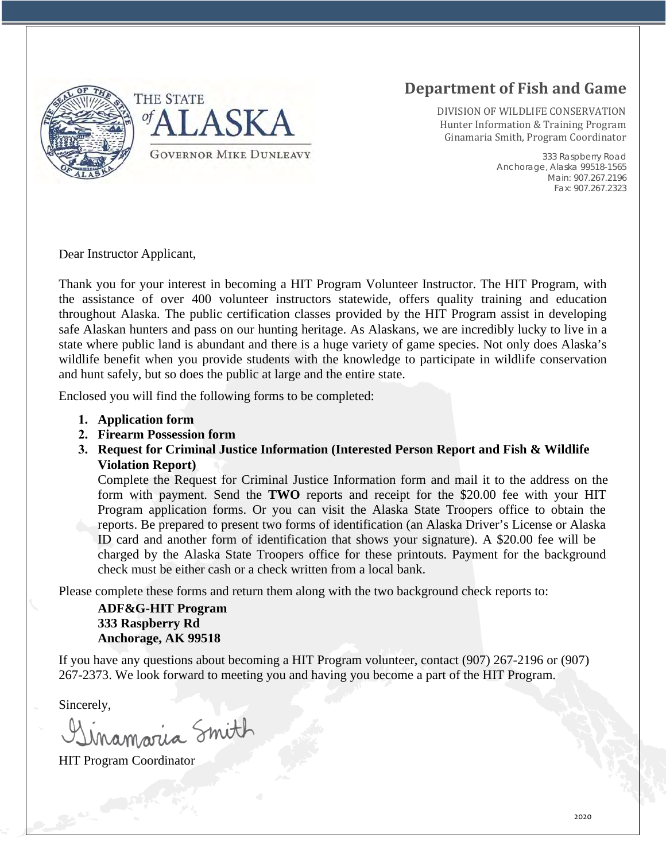

# **Department of Fish and Game**

DIVISION OF WILDLIFE CONSERVATION Hunter Information & Training Program Ginamaria Smith, Program Coordinator

> 333 Raspberry Road Anchorage, Alaska 99518-1565 Main: 907.267.2196 Fax: 907.267.2323

Dear Instructor Applicant,

Thank you for your interest in becoming a HIT Program Volunteer Instructor. The HIT Program, with the assistance of over 400 volunteer instructors statewide, offers quality training and education throughout Alaska. The public certification classes provided by the HIT Program assist in developing safe Alaskan hunters and pass on our hunting heritage. As Alaskans, we are incredibly lucky to live in a state where public land is abundant and there is a huge variety of game species. Not only does Alaska's wildlife benefit when you provide students with the knowledge to participate in wildlife conservation and hunt safely, but so does the public at large and the entire state.

Enclosed you will find the following forms to be completed:

- **1. Application form**
- **2. Firearm Possession form**
- **3. Request for Criminal Justice Information (Interested Person Report and Fish & Wildlife Violation Report)**

Complete the Request for Criminal Justice Information form and mail it to the address on the form with payment. Send the **TWO** reports and receipt for the \$20.00 fee with your HIT Program application forms. Or you can visit the Alaska State Troopers office to obtain the reports. Be prepared to present two forms of identification (an Alaska Driver's License or Alaska ID card and another form of identification that shows your signature). A \$20.00 fee will be charged by the Alaska State Troopers office for these printouts. Payment for the background check must be either cash or a check written from a local bank.

Please complete these forms and return them along with the two background check reports to:

#### **ADF&G-HIT Program 333 Raspberry Rd Anchorage, AK 99518**

If you have any questions about becoming a HIT Program volunteer, contact (907) 267-2196 or (907) 267-2373. We look forward to meeting you and having you become a part of the HIT Program.

Sincerely,

namaria Smith

HIT Program Coordinator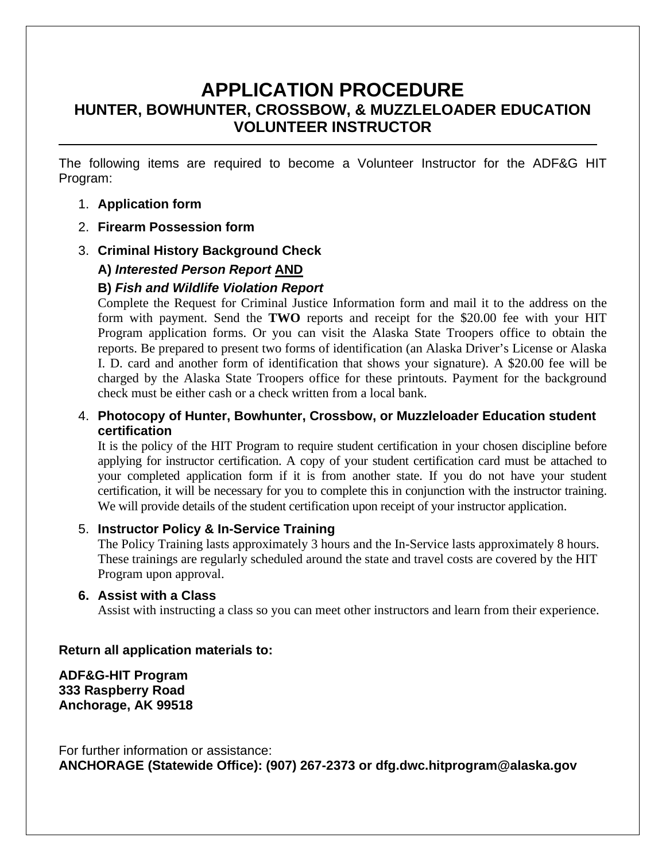## **APPLICATION PROCEDURE HUNTER, BOWHUNTER, CROSSBOW, & MUZZLELOADER EDUCATION VOLUNTEER INSTRUCTOR**

The following items are required to become a Volunteer Instructor for the ADF&G HIT Program:

#### 1. **Application form**

- 2. **Firearm Possession form**
- 3. **Criminal History Background Check**

### **A)** *Interested Person Report* **AND**

### **B)** *Fish and Wildlife Violation Report*

Complete the Request for Criminal Justice Information form and mail it to the address on the form with payment. Send the **TWO** reports and receipt for the \$20.00 fee with your HIT Program application forms. Or you can visit the Alaska State Troopers office to obtain the reports. Be prepared to present two forms of identification (an Alaska Driver's License or Alaska I. D. card and another form of identification that shows your signature). A \$20.00 fee will be charged by the Alaska State Troopers office for these printouts. Payment for the background check must be either cash or a check written from a local bank.

#### 4. **Photocopy of Hunter, Bowhunter, Crossbow, or Muzzleloader Education student certification**

It is the policy of the HIT Program to require student certification in your chosen discipline before applying for instructor certification. A copy of your student certification card must be attached to your completed application form if it is from another state. If you do not have your student certification, it will be necessary for you to complete this in conjunction with the instructor training. We will provide details of the student certification upon receipt of your instructor application.

#### 5. **Instructor Policy & In-Service Training**

The Policy Training lasts approximately 3 hours and the In-Service lasts approximately 8 hours. These trainings are regularly scheduled around the state and travel costs are covered by the HIT Program upon approval.

#### **6. Assist with a Class**

Assist with instructing a class so you can meet other instructors and learn from their experience.

#### **Return all application materials to:**

**ADF&G-HIT Program 333 Raspberry Road Anchorage, AK 99518**

For further information or assistance: **ANCHORAGE (Statewide Office): (907) 267-2373 or dfg.dwc.hitprogram@alaska.gov**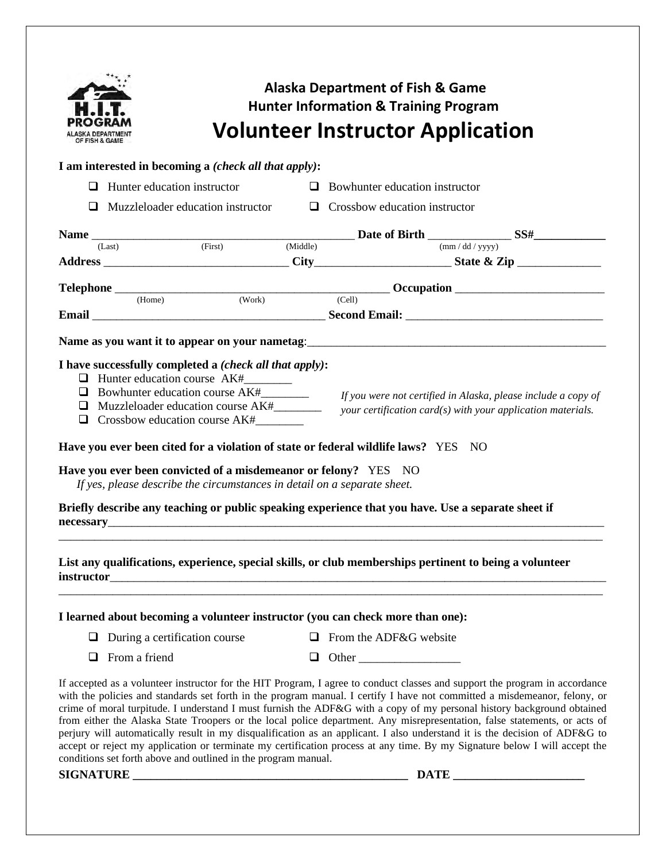| <b>Alaska Department of Fish &amp; Game</b><br><b>Hunter Information &amp; Training Program</b>                                                                                                                                                                                                                                                                                                                                                                                                                                                                                         |                                                                                                         |  |                                       |                                                                                                                                                                                                                                                                                                                                                                                                                                                                                                                                                                                                                                                                                                                                                                             |  |  |
|-----------------------------------------------------------------------------------------------------------------------------------------------------------------------------------------------------------------------------------------------------------------------------------------------------------------------------------------------------------------------------------------------------------------------------------------------------------------------------------------------------------------------------------------------------------------------------------------|---------------------------------------------------------------------------------------------------------|--|---------------------------------------|-----------------------------------------------------------------------------------------------------------------------------------------------------------------------------------------------------------------------------------------------------------------------------------------------------------------------------------------------------------------------------------------------------------------------------------------------------------------------------------------------------------------------------------------------------------------------------------------------------------------------------------------------------------------------------------------------------------------------------------------------------------------------------|--|--|
| <b>Volunteer Instructor Application</b><br>IF FISH & GAME                                                                                                                                                                                                                                                                                                                                                                                                                                                                                                                               |                                                                                                         |  |                                       |                                                                                                                                                                                                                                                                                                                                                                                                                                                                                                                                                                                                                                                                                                                                                                             |  |  |
|                                                                                                                                                                                                                                                                                                                                                                                                                                                                                                                                                                                         | I am interested in becoming a <i>(check all that apply)</i> :                                           |  |                                       |                                                                                                                                                                                                                                                                                                                                                                                                                                                                                                                                                                                                                                                                                                                                                                             |  |  |
| ப                                                                                                                                                                                                                                                                                                                                                                                                                                                                                                                                                                                       | Hunter education instructor                                                                             |  | $\Box$ Bowhunter education instructor |                                                                                                                                                                                                                                                                                                                                                                                                                                                                                                                                                                                                                                                                                                                                                                             |  |  |
| □                                                                                                                                                                                                                                                                                                                                                                                                                                                                                                                                                                                       | Muzzleloader education instructor                                                                       |  | $\Box$ Crossbow education instructor  |                                                                                                                                                                                                                                                                                                                                                                                                                                                                                                                                                                                                                                                                                                                                                                             |  |  |
|                                                                                                                                                                                                                                                                                                                                                                                                                                                                                                                                                                                         |                                                                                                         |  |                                       | Name $\frac{1}{(Last)}$ (First) (Middle) Date of Birth $\frac{1}{(mm/dd/yyyy)}$ SS#                                                                                                                                                                                                                                                                                                                                                                                                                                                                                                                                                                                                                                                                                         |  |  |
|                                                                                                                                                                                                                                                                                                                                                                                                                                                                                                                                                                                         |                                                                                                         |  |                                       |                                                                                                                                                                                                                                                                                                                                                                                                                                                                                                                                                                                                                                                                                                                                                                             |  |  |
|                                                                                                                                                                                                                                                                                                                                                                                                                                                                                                                                                                                         |                                                                                                         |  |                                       |                                                                                                                                                                                                                                                                                                                                                                                                                                                                                                                                                                                                                                                                                                                                                                             |  |  |
|                                                                                                                                                                                                                                                                                                                                                                                                                                                                                                                                                                                         |                                                                                                         |  |                                       | $\begin{tabular}{c} \textbf{Telephone} \end{tabular} \begin{tabular}{c} \textbf{C} = \textbf{C} \end{tabular} \begin{tabular}{c} \textbf{C} = \textbf{C} \end{tabular} \begin{tabular}{c} \textbf{C} = \textbf{C} \end{tabular} \begin{tabular}{c} \textbf{C} = \textbf{C} \end{tabular} \begin{tabular}{c} \textbf{C} = \textbf{C} \end{tabular} \begin{tabular}{c} \textbf{C} = \textbf{C} \end{tabular} \begin{tabular}{c} \textbf{C} = \textbf{C} \end{tabular} \begin{tabular}{c} \$                                                                                                                                                                                                                                                                                   |  |  |
|                                                                                                                                                                                                                                                                                                                                                                                                                                                                                                                                                                                         |                                                                                                         |  |                                       |                                                                                                                                                                                                                                                                                                                                                                                                                                                                                                                                                                                                                                                                                                                                                                             |  |  |
|                                                                                                                                                                                                                                                                                                                                                                                                                                                                                                                                                                                         |                                                                                                         |  |                                       |                                                                                                                                                                                                                                                                                                                                                                                                                                                                                                                                                                                                                                                                                                                                                                             |  |  |
| I have successfully completed a (check all that apply):<br>$\Box$ Bowhunter education course $AK#$ [ <i>f</i> you were not certified in Alaska, please include a copy of<br>$your$ certification card $(s)$ with your application materials.<br>Have you ever been cited for a violation of state or federal wildlife laws? YES NO<br>Have you ever been convicted of a misdemeanor or felony? YES NO<br>If yes, please describe the circumstances in detail on a separate sheet.<br>Briefly describe any teaching or public speaking experience that you have. Use a separate sheet if |                                                                                                         |  |                                       |                                                                                                                                                                                                                                                                                                                                                                                                                                                                                                                                                                                                                                                                                                                                                                             |  |  |
|                                                                                                                                                                                                                                                                                                                                                                                                                                                                                                                                                                                         | List any qualifications, experience, special skills, or club memberships pertinent to being a volunteer |  |                                       |                                                                                                                                                                                                                                                                                                                                                                                                                                                                                                                                                                                                                                                                                                                                                                             |  |  |
|                                                                                                                                                                                                                                                                                                                                                                                                                                                                                                                                                                                         | I learned about becoming a volunteer instructor (you can check more than one):                          |  |                                       |                                                                                                                                                                                                                                                                                                                                                                                                                                                                                                                                                                                                                                                                                                                                                                             |  |  |
|                                                                                                                                                                                                                                                                                                                                                                                                                                                                                                                                                                                         | $\Box$ During a certification course                                                                    |  | $\Box$ From the ADF&G website         |                                                                                                                                                                                                                                                                                                                                                                                                                                                                                                                                                                                                                                                                                                                                                                             |  |  |
| $\Box$ From a friend                                                                                                                                                                                                                                                                                                                                                                                                                                                                                                                                                                    |                                                                                                         |  | $\Box$ Other                          |                                                                                                                                                                                                                                                                                                                                                                                                                                                                                                                                                                                                                                                                                                                                                                             |  |  |
|                                                                                                                                                                                                                                                                                                                                                                                                                                                                                                                                                                                         | conditions set forth above and outlined in the program manual.                                          |  |                                       | If accepted as a volunteer instructor for the HIT Program, I agree to conduct classes and support the program in accordance<br>with the policies and standards set forth in the program manual. I certify I have not committed a misdemeanor, felony, or<br>crime of moral turpitude. I understand I must furnish the ADF&G with a copy of my personal history background obtained<br>from either the Alaska State Troopers or the local police department. Any misrepresentation, false statements, or acts of<br>perjury will automatically result in my disqualification as an applicant. I also understand it is the decision of ADF&G to<br>accept or reject my application or terminate my certification process at any time. By my Signature below I will accept the |  |  |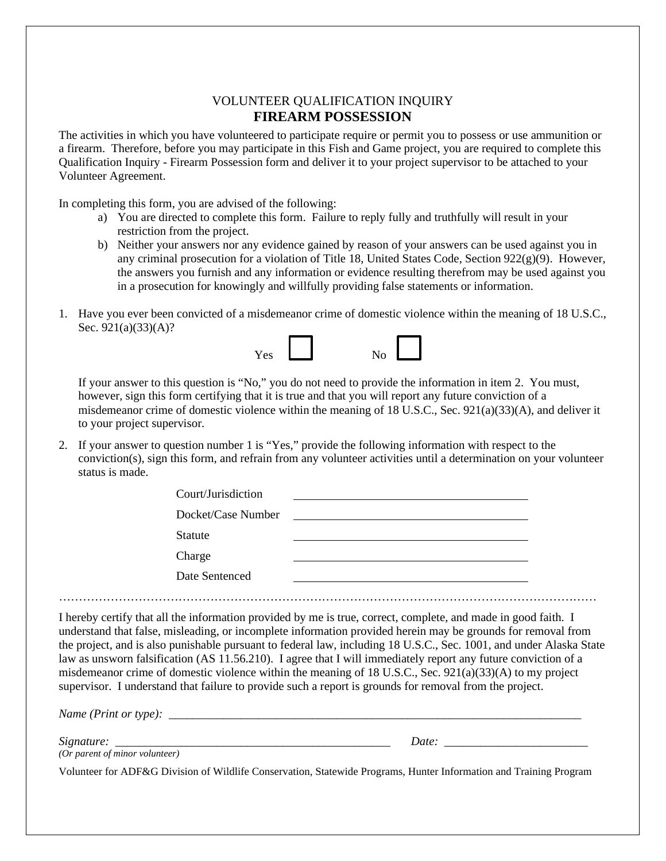#### VOLUNTEER QUALIFICATION INQUIRY **FIREARM POSSESSION**

The activities in which you have volunteered to participate require or permit you to possess or use ammunition or a firearm. Therefore, before you may participate in this Fish and Game project, you are required to complete this Qualification Inquiry - Firearm Possession form and deliver it to your project supervisor to be attached to your Volunteer Agreement.

In completing this form, you are advised of the following:

- a) You are directed to complete this form. Failure to reply fully and truthfully will result in your restriction from the project.
- b) Neither your answers nor any evidence gained by reason of your answers can be used against you in any criminal prosecution for a violation of Title 18, United States Code, Section  $922(g)(9)$ . However, the answers you furnish and any information or evidence resulting therefrom may be used against you in a prosecution for knowingly and willfully providing false statements or information.
- 1. Have you ever been convicted of a misdemeanor crime of domestic violence within the meaning of 18 U.S.C., Sec. 921(a)(33)(A)?



If your answer to this question is "No," you do not need to provide the information in item 2. You must, however, sign this form certifying that it is true and that you will report any future conviction of a misdemeanor crime of domestic violence within the meaning of 18 U.S.C., Sec. 921(a)(33)(A), and deliver it to your project supervisor.

2. If your answer to question number 1 is "Yes," provide the following information with respect to the conviction(s), sign this form, and refrain from any volunteer activities until a determination on your volunteer status is made.

| Court/Jurisdiction |                                                                                                                      |  |
|--------------------|----------------------------------------------------------------------------------------------------------------------|--|
| Docket/Case Number | <u> 1980 - Jan Samuel Barbara, político establecera e a la propia de la propia de la propia de la propia de la p</u> |  |
| <b>Statute</b>     |                                                                                                                      |  |
| Charge             |                                                                                                                      |  |
| Date Sentenced     |                                                                                                                      |  |
|                    |                                                                                                                      |  |

I hereby certify that all the information provided by me is true, correct, complete, and made in good faith. I understand that false, misleading, or incomplete information provided herein may be grounds for removal from the project, and is also punishable pursuant to federal law, including 18 U.S.C., Sec. 1001, and under Alaska State law as unsworn falsification (AS 11.56.210). I agree that I will immediately report any future conviction of a misdemeanor crime of domestic violence within the meaning of 18 U.S.C., Sec.  $921(a)(33)(A)$  to my project supervisor. I understand that failure to provide such a report is grounds for removal from the project.

*Name (Print or type):* 

*Signature:*  $\qquad \qquad$  Date:

*(Or parent of minor volunteer)*

Volunteer for ADF&G Division of Wildlife Conservation, Statewide Programs, Hunter Information and Training Program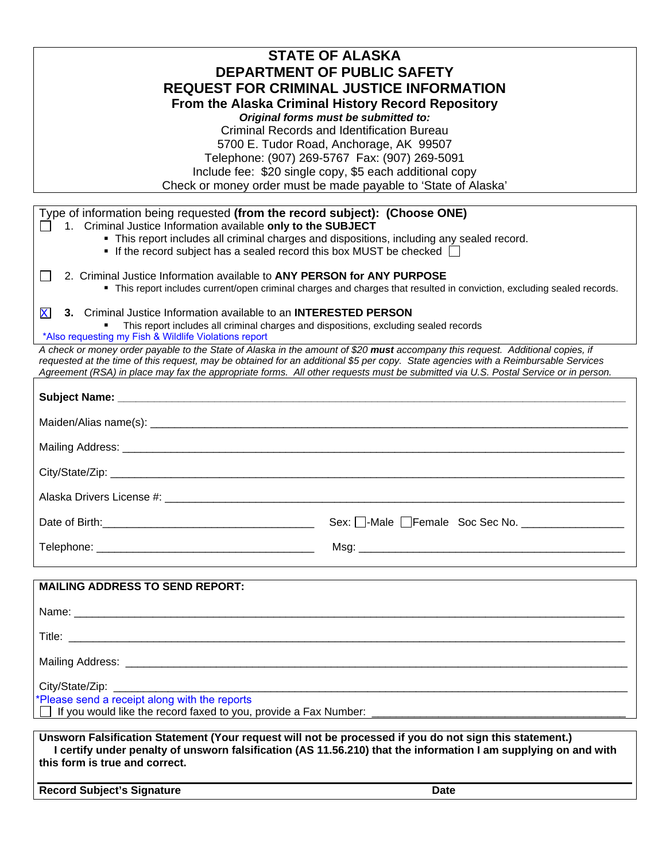|                                                                                                                                                             | <b>STATE OF ALASKA</b>                                                                                                             |  |  |  |
|-------------------------------------------------------------------------------------------------------------------------------------------------------------|------------------------------------------------------------------------------------------------------------------------------------|--|--|--|
| DEPARTMENT OF PUBLIC SAFETY                                                                                                                                 |                                                                                                                                    |  |  |  |
| <b>REQUEST FOR CRIMINAL JUSTICE INFORMATION</b>                                                                                                             |                                                                                                                                    |  |  |  |
|                                                                                                                                                             | From the Alaska Criminal History Record Repository                                                                                 |  |  |  |
|                                                                                                                                                             | Original forms must be submitted to:                                                                                               |  |  |  |
|                                                                                                                                                             | <b>Criminal Records and Identification Bureau</b>                                                                                  |  |  |  |
|                                                                                                                                                             | 5700 E. Tudor Road, Anchorage, AK 99507                                                                                            |  |  |  |
|                                                                                                                                                             | Telephone: (907) 269-5767 Fax: (907) 269-5091                                                                                      |  |  |  |
|                                                                                                                                                             | Include fee: \$20 single copy, \$5 each additional copy                                                                            |  |  |  |
|                                                                                                                                                             | Check or money order must be made payable to 'State of Alaska'                                                                     |  |  |  |
|                                                                                                                                                             |                                                                                                                                    |  |  |  |
| Type of information being requested (from the record subject): (Choose ONE)                                                                                 |                                                                                                                                    |  |  |  |
| 1. Criminal Justice Information available only to the SUBJECT<br>• This report includes all criminal charges and dispositions, including any sealed record. |                                                                                                                                    |  |  |  |
| $\blacksquare$ If the record subject has a sealed record this box MUST be checked $\Box$                                                                    |                                                                                                                                    |  |  |  |
|                                                                                                                                                             |                                                                                                                                    |  |  |  |
| 2. Criminal Justice Information available to ANY PERSON for ANY PURPOSE<br>$\mathbf{r}$                                                                     |                                                                                                                                    |  |  |  |
|                                                                                                                                                             | " This report includes current/open criminal charges and charges that resulted in conviction, excluding sealed records.            |  |  |  |
|                                                                                                                                                             |                                                                                                                                    |  |  |  |
| X<br>3. Criminal Justice Information available to an <b>INTERESTED PERSON</b>                                                                               |                                                                                                                                    |  |  |  |
| This report includes all criminal charges and dispositions, excluding sealed records<br>*Also requesting my Fish & Wildlife Violations report               |                                                                                                                                    |  |  |  |
| A check or money order payable to the State of Alaska in the amount of \$20 must accompany this request. Additional copies, if                              |                                                                                                                                    |  |  |  |
| requested at the time of this request, may be obtained for an additional \$5 per copy. State agencies with a Reimbursable Services                          |                                                                                                                                    |  |  |  |
|                                                                                                                                                             | Agreement (RSA) in place may fax the appropriate forms. All other requests must be submitted via U.S. Postal Service or in person. |  |  |  |
|                                                                                                                                                             |                                                                                                                                    |  |  |  |
|                                                                                                                                                             |                                                                                                                                    |  |  |  |
|                                                                                                                                                             |                                                                                                                                    |  |  |  |
|                                                                                                                                                             |                                                                                                                                    |  |  |  |
|                                                                                                                                                             |                                                                                                                                    |  |  |  |
|                                                                                                                                                             |                                                                                                                                    |  |  |  |
|                                                                                                                                                             |                                                                                                                                    |  |  |  |
| Date of Birth:                                                                                                                                              | Sex: □-Male □Female Soc Sec No. _                                                                                                  |  |  |  |
|                                                                                                                                                             |                                                                                                                                    |  |  |  |
|                                                                                                                                                             |                                                                                                                                    |  |  |  |
| <b>MAILING ADDRESS TO SEND REPORT:</b>                                                                                                                      |                                                                                                                                    |  |  |  |
|                                                                                                                                                             |                                                                                                                                    |  |  |  |
|                                                                                                                                                             |                                                                                                                                    |  |  |  |
|                                                                                                                                                             | Mailing Address: Lawrence Committee Committee Committee Committee Committee Committee Committee Committee Comm                     |  |  |  |
|                                                                                                                                                             |                                                                                                                                    |  |  |  |
| City/State/Zip:<br>*Please send a receipt along with the reports                                                                                            |                                                                                                                                    |  |  |  |
| If you would like the record faxed to you, provide a Fax Number:                                                                                            |                                                                                                                                    |  |  |  |
|                                                                                                                                                             |                                                                                                                                    |  |  |  |
| Unsworn Falsification Statement (Your request will not be processed if you do not sign this statement.)                                                     |                                                                                                                                    |  |  |  |
|                                                                                                                                                             | I certify under penalty of unsworn falsification (AS 11.56.210) that the information I am supplying on and with                    |  |  |  |
| this form is true and correct.                                                                                                                              |                                                                                                                                    |  |  |  |
| <b>Record Subject's Signature</b>                                                                                                                           | <b>Date</b>                                                                                                                        |  |  |  |
|                                                                                                                                                             |                                                                                                                                    |  |  |  |